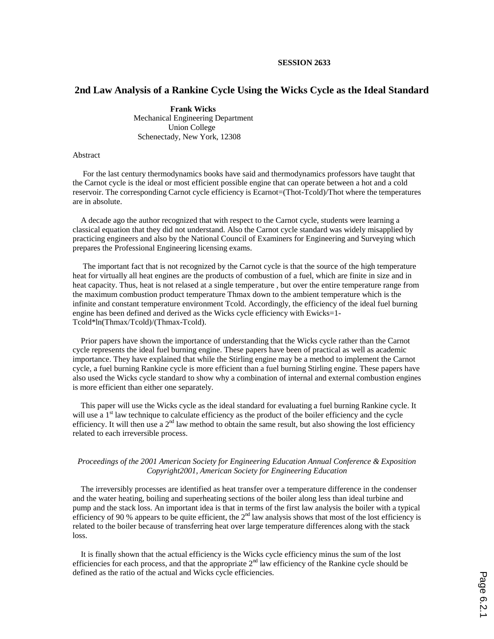## **SESSION 2633**

# **2nd Law Analysis of a Rankine Cycle Using the Wicks Cycle as the Ideal Standard**

 **Frank Wicks**  Mechanical Engineering Department Union College Schenectady, New York, 12308

### Abstract

 For the last century thermodynamics books have said and thermodynamics professors have taught that the Carnot cycle is the ideal or most efficient possible engine that can operate between a hot and a cold reservoir. The corresponding Carnot cycle efficiency is Ecarnot=(Thot-Tcold)/Thot where the temperatures are in absolute.

 A decade ago the author recognized that with respect to the Carnot cycle, students were learning a classical equation that they did not understand. Also the Carnot cycle standard was widely misapplied by practicing engineers and also by the National Council of Examiners for Engineering and Surveying which prepares the Professional Engineering licensing exams.

 The important fact that is not recognized by the Carnot cycle is that the source of the high temperature heat for virtually all heat engines are the products of combustion of a fuel, which are finite in size and in heat capacity. Thus, heat is not relased at a single temperature , but over the entire temperature range from the maximum combustion product temperature Thmax down to the ambient temperature which is the infinite and constant temperature environment Tcold. Accordingly, the efficiency of the ideal fuel burning engine has been defined and derived as the Wicks cycle efficiency with Ewicks=1- Tcold\*ln(Thmax/Tcold)/(Thmax-Tcold).

 Prior papers have shown the importance of understanding that the Wicks cycle rather than the Carnot cycle represents the ideal fuel burning engine. These papers have been of practical as well as academic importance. They have explained that while the Stirling engine may be a method to implement the Carnot cycle, a fuel burning Rankine cycle is more efficient than a fuel burning Stirling engine. These papers have also used the Wicks cycle standard to show why a combination of internal and external combustion engines is more efficient than either one separately.

 This paper will use the Wicks cycle as the ideal standard for evaluating a fuel burning Rankine cycle. It will use a  $1<sup>st</sup>$  law technique to calculate efficiency as the product of the boiler efficiency and the cycle efficiency. It will then use a  $2<sup>nd</sup>$  law method to obtain the same result, but also showing the lost efficiency related to each irreversible process.

## *Proceedings of the 2001 American Society for Engineering Education Annual Conference & Exposition Copyright2001, American Society for Engineering Education*

 The irreversibly processes are identified as heat transfer over a temperature difference in the condenser and the water heating, boiling and superheating sections of the boiler along less than ideal turbine and pump and the stack loss. An important idea is that in terms of the first law analysis the boiler with a typical efficiency of 90 % appears to be quite efficient, the  $2<sup>nd</sup>$  law analysis shows that most of the lost efficiency is related to the boiler because of transferring heat over large temperature differences along with the stack loss.

 It is finally shown that the actual efficiency is the Wicks cycle efficiency minus the sum of the lost efficiencies for each process, and that the appropriate  $2<sup>nd</sup>$  law efficiency of the Rankine cycle should be defined as the ratio of the actual and Wicks cycle efficiencies.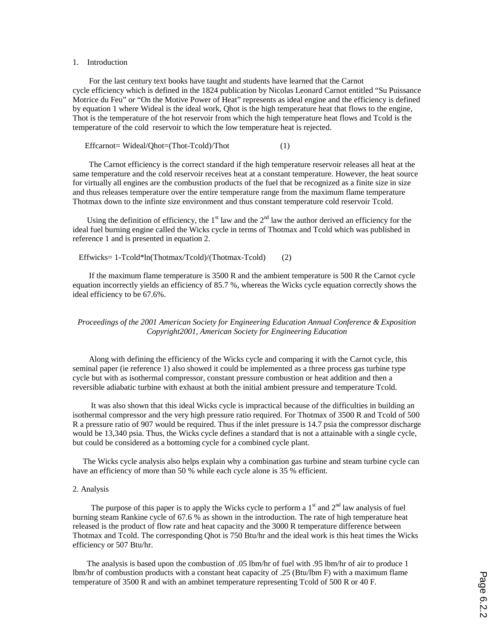#### 1. Introduction

 For the last century text books have taught and students have learned that the Carnot cycle efficiency which is defined in the 1824 publication by Nicolas Leonard Carnot entitled "Su Puissance Motrice du Feu" or "On the Motive Power of Heat" represents as ideal engine and the efficiency is defined by equation 1 where Wideal is the ideal work, Qhot is the high temperature heat that flows to the engine, Thot is the temperature of the hot reservoir from which the high temperature heat flows and Tcold is the temperature of the cold reservoir to which the low temperature heat is rejected.

Effcarnot= Wideal/Qhot=(Thot-Tcold)/Thot (1)

 The Carnot efficiency is the correct standard if the high temperature reservoir releases all heat at the same temperature and the cold reservoir receives heat at a constant temperature. However, the heat source for virtually all engines are the combustion products of the fuel that be recognized as a finite size in size and thus releases temperature over the entire temperature range from the maximum flame temperature Thotmax down to the infinte size environment and thus constant temperature cold reservoir Tcold.

Using the definition of efficiency, the  $1<sup>st</sup>$  law and the  $2<sup>nd</sup>$  law the author derived an efficiency for the ideal fuel burning engine called the Wicks cycle in terms of Thotmax and Tcold which was published in reference 1 and is presented in equation 2.

## Effwicks= 1-Tcold\*ln(Thotmax/Tcold)/(Thotmax-Tcold) (2)

 If the maximum flame temperature is 3500 R and the ambient temperature is 500 R the Carnot cycle equation incorrectly yields an efficiency of 85.7 %, whereas the Wicks cycle equation correctly shows the ideal efficiency to be 67.6%.

## *Proceedings of the 2001 American Society for Engineering Education Annual Conference & Exposition Copyright2001, American Society for Engineering Education*

 Along with defining the efficiency of the Wicks cycle and comparing it with the Carnot cycle, this seminal paper (ie reference 1) also showed it could be implemented as a three process gas turbine type cycle but with as isothermal compressor, constant pressure combustion or heat addition and then a reversible adiabatic turbine with exhaust at both the initial ambient pressure and temperature Tcold.

 It was also shown that this ideal Wicks cycle is impractical because of the difficulties in building an isothermal compressor and the very high pressure ratio required. For Thotmax of 3500 R and Tcold of 500 R a pressure ratio of 907 would be required. Thus if the inlet pressure is 14.7 psia the compressor discharge would be 13,340 psia. Thus, the Wicks cycle defines a standard that is not a attainable with a single cycle, but could be considered as a bottoming cycle for a combined cycle plant.

 The Wicks cycle analysis also helps explain why a combination gas turbine and steam turbine cycle can have an efficiency of more than 50 % while each cycle alone is 35 % efficient.

#### 2. Analysis

The purpose of this paper is to apply the Wicks cycle to perform a  $1<sup>st</sup>$  and  $2<sup>nd</sup>$  law analysis of fuel burning steam Rankine cycle of 67.6 % as shown in the introduction. The rate of high temperature heat released is the product of flow rate and heat capacity and the 3000 R temperature difference between Thotmax and Tcold. The corresponding Qhot is 750 Btu/hr and the ideal work is this heat times the Wicks efficiency or 507 Btu/hr.

 The analysis is based upon the combustion of .05 lbm/hr of fuel with .95 lbm/hr of air to produce 1 lbm/hr of combustion products with a constant heat capacity of .25 (Btu/lbm F) with a maximum flame temperature of 3500 R and with an ambinet temperature representing Tcold of 500 R or 40 F.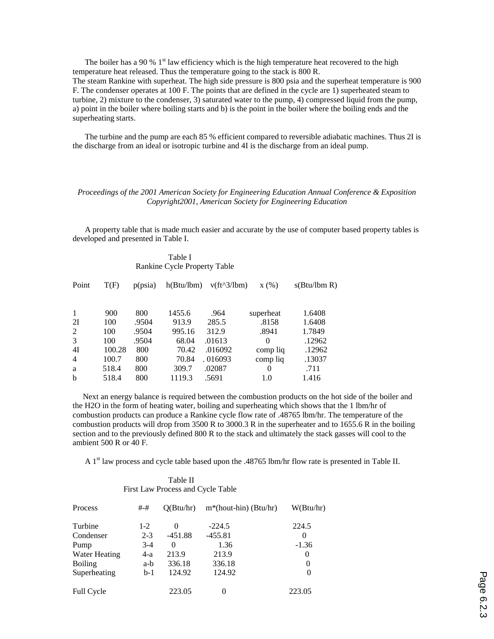The boiler has a 90 %  $1<sup>st</sup>$  law efficiency which is the high temperature heat recovered to the high temperature heat released. Thus the temperature going to the stack is 800 R. The steam Rankine with superheat. The high side pressure is 800 psia and the superheat temperature is 900 F. The condenser operates at 100 F. The points that are defined in the cycle are 1) superheated steam to turbine, 2) mixture to the condenser, 3) saturated water to the pump, 4) compressed liquid from the pump, a) point in the boiler where boiling starts and b) is the point in the boiler where the boiling ends and the superheating starts.

 The turbine and the pump are each 85 % efficient compared to reversible adiabatic machines. Thus 2I is the discharge from an ideal or isotropic turbine and 4I is the discharge from an ideal pump.

## *Proceedings of the 2001 American Society for Engineering Education Annual Conference & Exposition Copyright2001, American Society for Engineering Education*

 A property table that is made much easier and accurate by the use of computer based property tables is developed and presented in Table I.

> Table I Rankine Cycle Property Table

| Point          | T(F)   | p(psia) | h(Btu/lbm) | $v(ft^3/lbm)$ | x(%)      | s(Btu/lbm R) |
|----------------|--------|---------|------------|---------------|-----------|--------------|
|                |        |         |            |               |           |              |
| 1              | 900    | 800     | 1455.6     | .964          | superheat | 1.6408       |
| 2I             | 100    | .9504   | 913.9      | 285.5         | .8158     | 1.6408       |
| 2              | 100    | .9504   | 995.16     | 312.9         | .8941     | 1.7849       |
| 3              | 100    | .9504   | 68.04      | .01613        | 0         | .12962       |
| 4I             | 100.28 | 800     | 70.42      | .016092       | comp liq  | .12962       |
| $\overline{4}$ | 100.7  | 800     | 70.84      | .016093       | comp liq  | .13037       |
| a              | 518.4  | 800     | 309.7      | .02087        | 0         | .711         |
| b              | 518.4  | 800     | 1119.3     | .5691         | 1.0       | 1.416        |

 Next an energy balance is required between the combustion products on the hot side of the boiler and the H2O in the form of heating water, boiling and superheating which shows that the 1 lbm/hr of combustion products can produce a Rankine cycle flow rate of .48765 lbm/hr. The temperature of the combustion products will drop from 3500 R to 3000.3 R in the superheater and to 1655.6 R in the boiling section and to the previously defined 800 R to the stack and ultimately the stack gasses will cool to the ambient 500 R or 40 F.

A 1<sup>st</sup> law process and cycle table based upon the .48765 lbm/hr flow rate is presented in Table II.

| Process           | #-#     | O(Btu/hr) | $m^*(hout-hin)$ (Btu/hr) | W(Btu/hr) |
|-------------------|---------|-----------|--------------------------|-----------|
| Turbine           | $1-2$   | 0         | $-224.5$                 | 224.5     |
| Condenser         | $2 - 3$ | $-451.88$ | $-455.81$                | $\Omega$  |
| Pump              | $3-4$   | 0         | 1.36                     | $-1.36$   |
| Water Heating     | 4-a     | 213.9     | 213.9                    | 0         |
| <b>Boiling</b>    | a-b     | 336.18    | 336.18                   | $\theta$  |
| Superheating      | $b-1$   | 124.92    | 124.92                   | 0         |
| <b>Full Cycle</b> |         | 223.05    | 0                        | 223.05    |

## Table II First Law Process and Cycle Table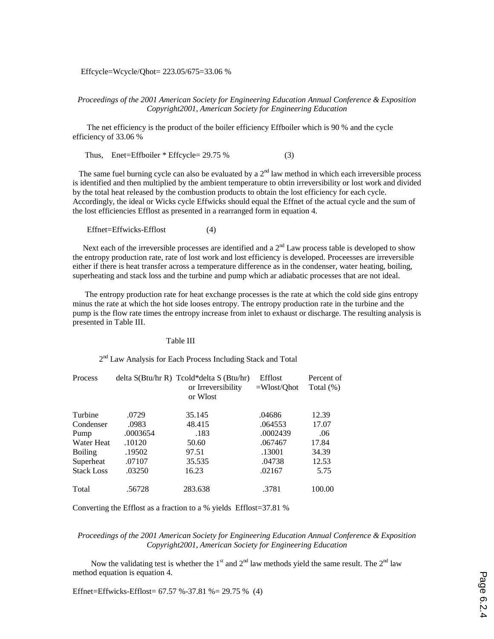Effcycle=Wcycle/Qhot= 223.05/675=33.06 %

*Proceedings of the 2001 American Society for Engineering Education Annual Conference & Exposition Copyright2001, American Society for Engineering Education* 

 The net efficiency is the product of the boiler efficiency Effboiler which is 90 % and the cycle efficiency of 33.06 %

Thus, Enet=Effboiler  $*$  Effcycle= 29.75 % (3)

The same fuel burning cycle can also be evaluated by a  $2<sup>nd</sup>$  law method in which each irreversible process is identified and then multiplied by the ambient temperature to obtin irreversibility or lost work and divided by the total heat released by the combustion products to obtain the lost efficiency for each cycle. Accordingly, the ideal or Wicks cycle Effwicks should equal the Effnet of the actual cycle and the sum of the lost efficiencies Efflost as presented in a rearranged form in equation 4.

Effnet=Effwicks-Efflost (4)

Next each of the irreversible processes are identified and a  $2<sup>nd</sup>$  Law process table is developed to show the entropy production rate, rate of lost work and lost efficiency is developed. Proceesses are irreversible either if there is heat transfer across a temperature difference as in the condenser, water heating, boiling, superheating and stack loss and the turbine and pump which ar adiabatic processes that are not ideal.

 The entropy production rate for heat exchange processes is the rate at which the cold side gins entropy minus the rate at which the hot side looses entropy. The entropy production rate in the turbine and the pump is the flow rate times the entropy increase from inlet to exhaust or discharge. The resulting analysis is presented in Table III.

### Table III

2<sup>nd</sup> Law Analysis for Each Process Including Stack and Total

| Process           |          | delta S(Btu/hr R) Tcold*delta S (Btu/hr)<br>or Irreversibility<br>or Wlost | Efflost<br>$=Wlost/Qhot$ | Percent of<br>Total $(\%)$ |
|-------------------|----------|----------------------------------------------------------------------------|--------------------------|----------------------------|
|                   |          |                                                                            |                          |                            |
| Turbine           | .0729    | 35.145                                                                     | .04686                   | 12.39                      |
| Condenser         | .0983    | 48.415                                                                     | .064553                  | 17.07                      |
| Pump              | .0003654 | .183                                                                       | .0002439                 | .06                        |
| Water Heat        | .10120   | 50.60                                                                      | .067467                  | 17.84                      |
| <b>Boiling</b>    | .19502   | 97.51                                                                      | .13001                   | 34.39                      |
| Superheat         | .07107   | 35.535                                                                     | .04738                   | 12.53                      |
| <b>Stack Loss</b> | .03250   | 16.23                                                                      | .02167                   | 5.75                       |
| Total             | .56728   | 283.638                                                                    | .3781                    | 100.00                     |

Converting the Efflost as a fraction to a % yields Efflost=37.81 %

*Proceedings of the 2001 American Society for Engineering Education Annual Conference & Exposition Copyright2001, American Society for Engineering Education* 

Now the validating test is whether the  $1<sup>st</sup>$  and  $2<sup>nd</sup>$  law methods yield the same result. The  $2<sup>nd</sup>$  law method equation is equation 4.

Effnet=Effwicks-Efflost= 67.57 %-37.81 %= 29.75 % (4)